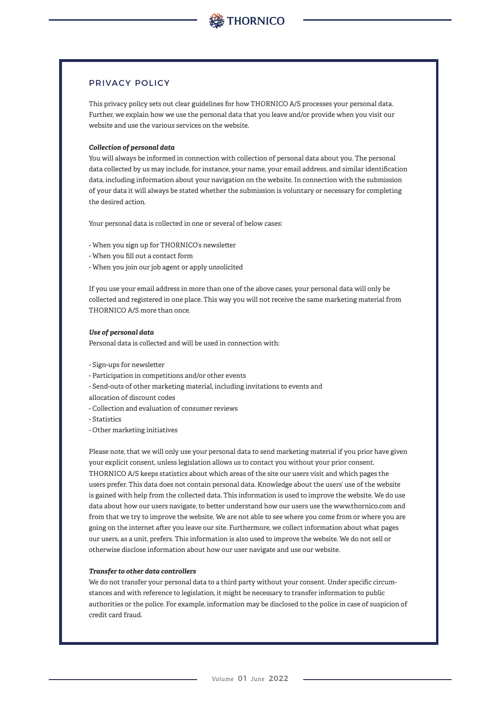# PRIVACY POLICY

This privacy policy sets out clear guidelines for how THORNICO A/S processes your personal data. Further, we explain how we use the personal data that you leave and/or provide when you visit our website and use the various services on the website.

# *Collection of personal data*

You will always be informed in connection with collection of personal data about you. The personal data collected by us may include, for instance, your name, your email address, and similar identification data, including information about your navigation on the website. In connection with the submission of your data it will always be stated whether the submission is voluntary or necessary for completing the desired action.

Your personal data is collected in one or several of below cases:

- When you sign up for THORNICO's newsletter
- When you fill out a contact form
- When you join our job agent or apply unsolicited

If you use your email address in more than one of the above cases, your personal data will only be collected and registered in one place. This way you will not receive the same marketing material from THORNICO A/S more than once.

### *Use of personal data*

Personal data is collected and will be used in connection with:

- Sign-ups for newsletter
- Participation in competitions and/or other events
- Send-outs of other marketing material, including invitations to events and
- allocation of discount codes
- Collection and evaluation of consumer reviews
- Statistics
- Other marketing initiatives

Please note, that we will only use your personal data to send marketing material if you prior have given your explicit consent, unless legislation allows us to contact you without your prior consent. THORNICO A/S keeps statistics about which areas of the site our users visit and which pages the users prefer. This data does not contain personal data. Knowledge about the users' use of the website is gained with help from the collected data. This information is used to improve the website. We do use data about how our users navigate, to better understand how our users use the www.thornico.com and from that we try to improve the website. We are not able to see where you come from or where you are going on the internet after you leave our site. Furthermore, we collect information about what pages our users, as a unit, prefers. This information is also used to improve the website. We do not sell or otherwise disclose information about how our user navigate and use our website.

# *Transfer to other data controllers*

We do not transfer your personal data to a third party without your consent. Under specific circumstances and with reference to legislation, it might be necessary to transfer information to public authorities or the police. For example, information may be disclosed to the police in case of suspicion of credit card fraud.